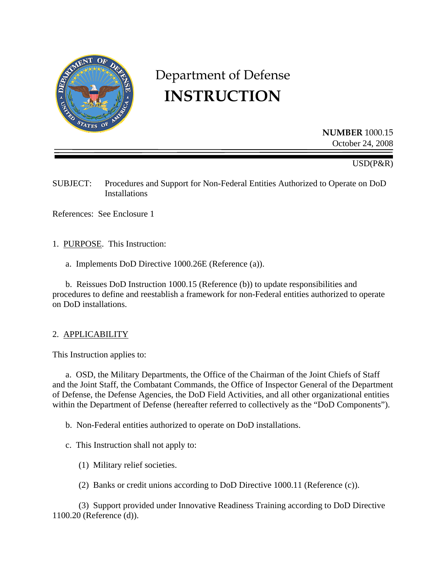

# Department of Defense **INSTRUCTION**

**NUMBER** 1000.15 October 24, 2008

USD(P&R)

SUBJECT: Procedures and Support for Non-Federal Entities Authorized to Operate on DoD Installations

References: See Enclosure 1

1. PURPOSE. This Instruction:

a. Implements DoD Directive 1000.26E (Reference (a)).

 b. Reissues DoD Instruction 1000.15 (Reference (b)) to update responsibilities and procedures to define and reestablish a framework for non-Federal entities authorized to operate on DoD installations.

#### 2. APPLICABILITY

This Instruction applies to:

 a. OSD, the Military Departments, the Office of the Chairman of the Joint Chiefs of Staff and the Joint Staff, the Combatant Commands, the Office of Inspector General of the Department of Defense, the Defense Agencies, the DoD Field Activities, and all other organizational entities within the Department of Defense (hereafter referred to collectively as the "DoD Components").

b. Non-Federal entities authorized to operate on DoD installations.

- c. This Instruction shall not apply to:
	- (1) Military relief societies.
	- (2) Banks or credit unions according to DoD Directive 1000.11 (Reference (c)).

 (3) Support provided under Innovative Readiness Training according to DoD Directive 1100.20 (Reference (d)).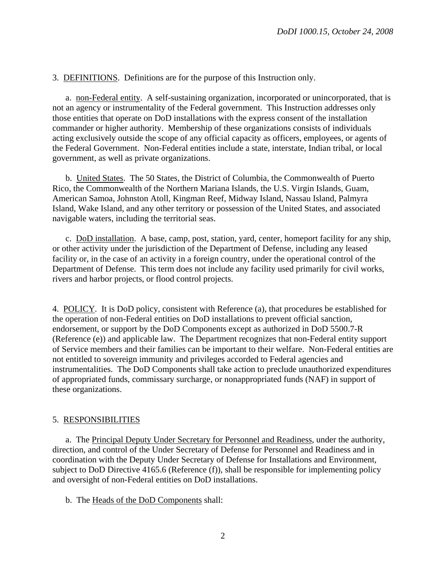3. DEFINITIONS. Definitions are for the purpose of this Instruction only.

a. non-Federal entity.A self-sustaining organization, incorporated or unincorporated, that is not an agency or instrumentality of the Federal government. This Instruction addresses only those entities that operate on DoD installations with the express consent of the installation commander or higher authority. Membership of these organizations consists of individuals acting exclusively outside the scope of any official capacity as officers, employees, or agents of the Federal Government. Non-Federal entities include a state, interstate, Indian tribal, or local government, as well as private organizations.

b. United States. The 50 States, the District of Columbia, the Commonwealth of Puerto Rico, the Commonwealth of the Northern Mariana Islands, the U.S. Virgin Islands, Guam, American Samoa, Johnston Atoll, Kingman Reef, Midway Island, Nassau Island, Palmyra Island, Wake Island, and any other territory or possession of the United States, and associated navigable waters, including the territorial seas.

c. DoD installation. A base, camp, post, station, yard, center, homeport facility for any ship, or other activity under the jurisdiction of the Department of Defense, including any leased facility or, in the case of an activity in a foreign country, under the operational control of the Department of Defense. This term does not include any facility used primarily for civil works, rivers and harbor projects, or flood control projects.

4. POLICY. It is DoD policy, consistent with Reference (a), that procedures be established for the operation of non-Federal entities on DoD installations to prevent official sanction, endorsement, or support by the DoD Components except as authorized in DoD 5500.7-R (Reference (e)) and applicable law. The Department recognizes that non-Federal entity support of Service members and their families can be important to their welfare. Non-Federal entities are not entitled to sovereign immunity and privileges accorded to Federal agencies and instrumentalities. The DoD Components shall take action to preclude unauthorized expenditures of appropriated funds, commissary surcharge, or nonappropriated funds (NAF) in support of these organizations.

#### 5. RESPONSIBILITIES

 a. The Principal Deputy Under Secretary for Personnel and Readiness, under the authority, direction, and control of the Under Secretary of Defense for Personnel and Readiness and in coordination with the Deputy Under Secretary of Defense for Installations and Environment, subject to DoD Directive 4165.6 (Reference (f)), shall be responsible for implementing policy and oversight of non-Federal entities on DoD installations.

b. The Heads of the DoD Components shall: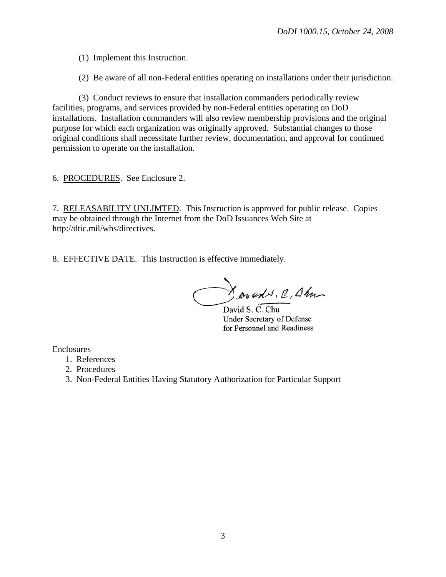(1) Implement this Instruction.

(2) Be aware of all non-Federal entities operating on installations under their jurisdiction.

 (3) Conduct reviews to ensure that installation commanders periodically review facilities, programs, and services provided by non-Federal entities operating on DoD installations. Installation commanders will also review membership provisions and the original purpose for which each organization was originally approved. Substantial changes to those original conditions shall necessitate further review, documentation, and approval for continued permission to operate on the installation.

6. PROCEDURES. See Enclosure 2.

7. RELEASABILITY UNLIMTED. This Instruction is approved for public release. Copies may be obtained through the Internet from the DoD Issuances Web Site at http://dtic.mil/whs/directives.

8. EFFECTIVE DATE. This Instruction is effective immediately.

Joseph C, Chu

David S. C. Chu **Under Secretary of Defense** for Personnel and Readiness

Enclosures

- 1. References
- 2. Procedures
- 3. Non-Federal Entities Having Statutory Authorization for Particular Support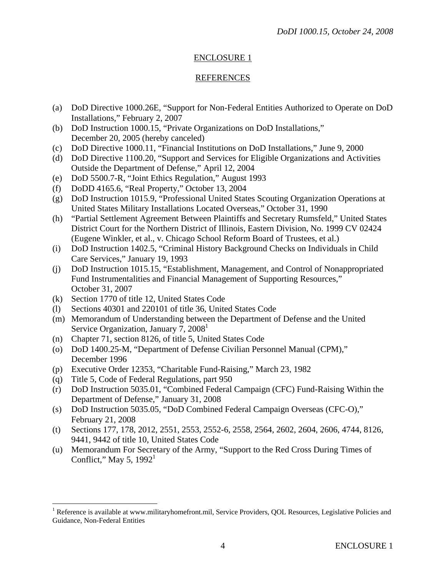## ENCLOSURE 1

## REFERENCES

- (a) DoD Directive 1000.26E, "Support for Non-Federal Entities Authorized to Operate on DoD Installations," February 2, 2007
- (b) DoD Instruction 1000.15, "Private Organizations on DoD Installations," December 20, 2005 (hereby canceled)
- (c) DoD Directive 1000.11, "Financial Institutions on DoD Installations," June 9, 2000
- (d) DoD Directive 1100.20, "Support and Services for Eligible Organizations and Activities Outside the Department of Defense," April 12, 2004
- (e) DoD 5500.7-R, "Joint Ethics Regulation," August 1993
- (f) DoDD 4165.6, "Real Property," October 13, 2004
- (g) DoD Instruction 1015.9, "Professional United States Scouting Organization Operations at United States Military Installations Located Overseas," October 31, 1990
- (h) "Partial Settlement Agreement Between Plaintiffs and Secretary Rumsfeld," United States District Court for the Northern District of Illinois, Eastern Division, No. 1999 CV 02424 (Eugene Winkler, et al., v. Chicago School Reform Board of Trustees, et al.)
- (i) DoD Instruction 1402.5, "Criminal History Background Checks on Individuals in Child Care Services," January 19, 1993
- (j) DoD Instruction 1015.15, "Establishment, Management, and Control of Nonappropriated Fund Instrumentalities and Financial Management of Supporting Resources," October 31, 2007
- (k) Section 1770 of title 12, United States Code
- (l) Sections 40301 and 220101 of title 36, United States Code
- (m) Memorandum of Understanding between the Department of Defense and the United Service Organization, January 7,  $2008<sup>1</sup>$
- (n) Chapter 71, section 8126, of title 5, United States Code
- (o) DoD 1400.25-M, "Department of Defense Civilian Personnel Manual (CPM)," December 1996
- (p) Executive Order 12353, "Charitable Fund-Raising," March 23, 1982
- (q) Title 5, Code of Federal Regulations, part 950

1

- (r) DoD Instruction 5035.01, "Combined Federal Campaign (CFC) Fund-Raising Within the Department of Defense," January 31, 2008
- (s) DoD Instruction 5035.05, "DoD Combined Federal Campaign Overseas (CFC-O)," February 21, 2008
- (t) Sections 177, 178, 2012, 2551, 2553, 2552-6, 2558, 2564, 2602, 2604, 2606, 4744, 8126, 9441, 9442 of title 10, United States Code
- (u) Memorandum For Secretary of the Army, "Support to the Red Cross During Times of Conflict," May 5,  $1992<sup>1</sup>$

<sup>&</sup>lt;sup>1</sup> Reference is available at www.militaryhomefront.mil, Service Providers, QOL Resources, Legislative Policies and Guidance, Non-Federal Entities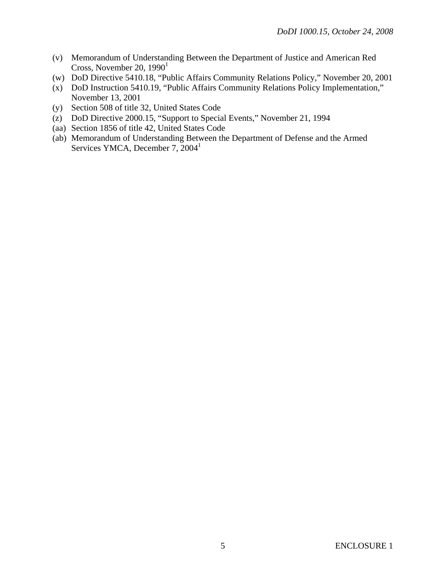- (v) Memorandum of Understanding Between the Department of Justice and American Red Cross, November 20,  $1990<sup>1</sup>$
- (w) DoD Directive 5410.18, "Public Affairs Community Relations Policy," November 20, 2001
- (x) DoD Instruction 5410.19, "Public Affairs Community Relations Policy Implementation," November 13, 2001
- (y) Section 508 of title 32, United States Code
- (z) DoD Directive 2000.15, "Support to Special Events," November 21, 1994
- (aa) Section 1856 of title 42, United States Code
- (ab) Memorandum of Understanding Between the Department of Defense and the Armed Services YMCA, December 7, 2004<sup>1</sup>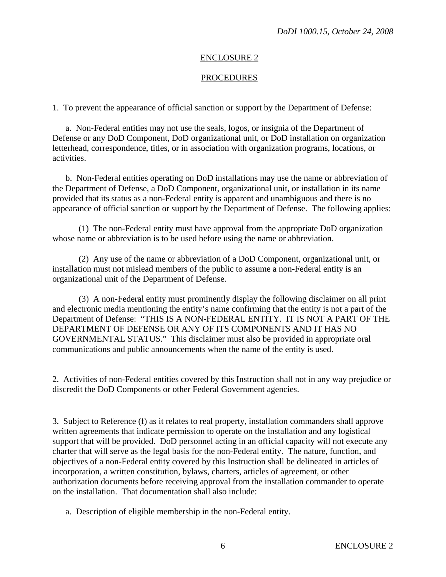#### ENCLOSURE 2

#### **PROCEDURES**

1. To prevent the appearance of official sanction or support by the Department of Defense:

 a. Non-Federal entities may not use the seals, logos, or insignia of the Department of Defense or any DoD Component, DoD organizational unit, or DoD installation on organization letterhead, correspondence, titles, or in association with organization programs, locations, or activities.

 b. Non-Federal entities operating on DoD installations may use the name or abbreviation of the Department of Defense, a DoD Component, organizational unit, or installation in its name provided that its status as a non-Federal entity is apparent and unambiguous and there is no appearance of official sanction or support by the Department of Defense. The following applies:

 (1) The non-Federal entity must have approval from the appropriate DoD organization whose name or abbreviation is to be used before using the name or abbreviation.

 (2) Any use of the name or abbreviation of a DoD Component, organizational unit, or installation must not mislead members of the public to assume a non-Federal entity is an organizational unit of the Department of Defense.

 (3) A non-Federal entity must prominently display the following disclaimer on all print and electronic media mentioning the entity's name confirming that the entity is not a part of the Department of Defense: "THIS IS A NON-FEDERAL ENTITY. IT IS NOT A PART OF THE DEPARTMENT OF DEFENSE OR ANY OF ITS COMPONENTS AND IT HAS NO GOVERNMENTAL STATUS." This disclaimer must also be provided in appropriate oral communications and public announcements when the name of the entity is used.

2. Activities of non-Federal entities covered by this Instruction shall not in any way prejudice or discredit the DoD Components or other Federal Government agencies.

3. Subject to Reference (f) as it relates to real property, installation commanders shall approve written agreements that indicate permission to operate on the installation and any logistical support that will be provided. DoD personnel acting in an official capacity will not execute any charter that will serve as the legal basis for the non-Federal entity. The nature, function, and objectives of a non-Federal entity covered by this Instruction shall be delineated in articles of incorporation, a written constitution, bylaws, charters, articles of agreement, or other authorization documents before receiving approval from the installation commander to operate on the installation. That documentation shall also include:

a. Description of eligible membership in the non-Federal entity.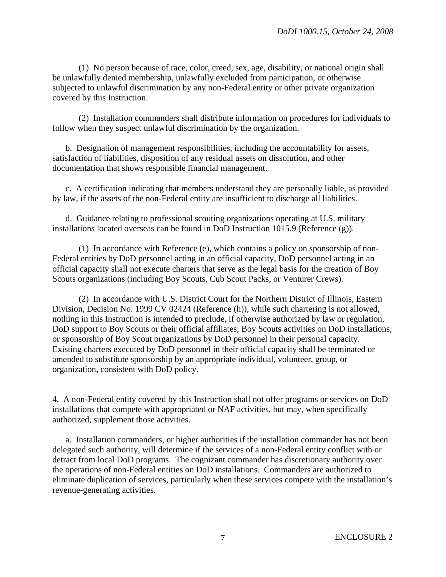(1) No person because of race, color, creed, sex, age, disability, or national origin shall be unlawfully denied membership, unlawfully excluded from participation, or otherwise subjected to unlawful discrimination by any non-Federal entity or other private organization covered by this Instruction.

 (2) Installation commanders shall distribute information on procedures for individuals to follow when they suspect unlawful discrimination by the organization.

 b. Designation of management responsibilities, including the accountability for assets, satisfaction of liabilities, disposition of any residual assets on dissolution, and other documentation that shows responsible financial management.

 c. A certification indicating that members understand they are personally liable, as provided by law, if the assets of the non-Federal entity are insufficient to discharge all liabilities.

 d. Guidance relating to professional scouting organizations operating at U.S. military installations located overseas can be found in DoD Instruction 1015.9 (Reference (g)).

 (1) In accordance with Reference (e), which contains a policy on sponsorship of non-Federal entities by DoD personnel acting in an official capacity, DoD personnel acting in an official capacity shall not execute charters that serve as the legal basis for the creation of Boy Scouts organizations (including Boy Scouts, Cub Scout Packs, or Venturer Crews).

 (2) In accordance with U.S. District Court for the Northern District of Illinois, Eastern Division, Decision No. 1999 CV 02424 (Reference (h)), while such chartering is not allowed, nothing in this Instruction is intended to preclude, if otherwise authorized by law or regulation, DoD support to Boy Scouts or their official affiliates; Boy Scouts activities on DoD installations; or sponsorship of Boy Scout organizations by DoD personnel in their personal capacity. Existing charters executed by DoD personnel in their official capacity shall be terminated or amended to substitute sponsorship by an appropriate individual, volunteer, group, or organization, consistent with DoD policy.

4. A non-Federal entity covered by this Instruction shall not offer programs or services on DoD installations that compete with appropriated or NAF activities, but may, when specifically authorized, supplement those activities.

 a. Installation commanders, or higher authorities if the installation commander has not been delegated such authority, will determine if the services of a non-Federal entity conflict with or detract from local DoD programs. The cognizant commander has discretionary authority over the operations of non-Federal entities on DoD installations. Commanders are authorized to eliminate duplication of services, particularly when these services compete with the installation's revenue-generating activities.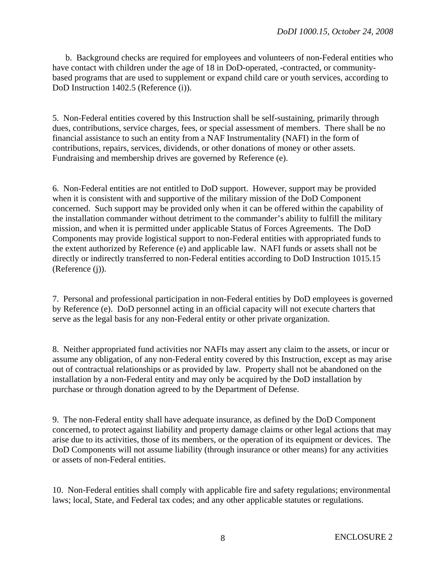b. Background checks are required for employees and volunteers of non-Federal entities who have contact with children under the age of 18 in DoD-operated, -contracted, or communitybased programs that are used to supplement or expand child care or youth services, according to DoD Instruction 1402.5 (Reference (i)).

5. Non-Federal entities covered by this Instruction shall be self-sustaining, primarily through dues, contributions, service charges, fees, or special assessment of members. There shall be no financial assistance to such an entity from a NAF Instrumentality (NAFI) in the form of contributions, repairs, services, dividends, or other donations of money or other assets. Fundraising and membership drives are governed by Reference (e).

6. Non-Federal entities are not entitled to DoD support. However, support may be provided when it is consistent with and supportive of the military mission of the DoD Component concerned. Such support may be provided only when it can be offered within the capability of the installation commander without detriment to the commander's ability to fulfill the military mission, and when it is permitted under applicable Status of Forces Agreements. The DoD Components may provide logistical support to non-Federal entities with appropriated funds to the extent authorized by Reference (e) and applicable law. NAFI funds or assets shall not be directly or indirectly transferred to non-Federal entities according to DoD Instruction 1015.15 (Reference (j)).

7. Personal and professional participation in non-Federal entities by DoD employees is governed by Reference (e). DoD personnel acting in an official capacity will not execute charters that serve as the legal basis for any non-Federal entity or other private organization.

8. Neither appropriated fund activities nor NAFIs may assert any claim to the assets, or incur or assume any obligation, of any non-Federal entity covered by this Instruction, except as may arise out of contractual relationships or as provided by law. Property shall not be abandoned on the installation by a non-Federal entity and may only be acquired by the DoD installation by purchase or through donation agreed to by the Department of Defense.

9. The non-Federal entity shall have adequate insurance, as defined by the DoD Component concerned, to protect against liability and property damage claims or other legal actions that may arise due to its activities, those of its members, or the operation of its equipment or devices. The DoD Components will not assume liability (through insurance or other means) for any activities or assets of non-Federal entities.

10. Non-Federal entities shall comply with applicable fire and safety regulations; environmental laws; local, State, and Federal tax codes; and any other applicable statutes or regulations.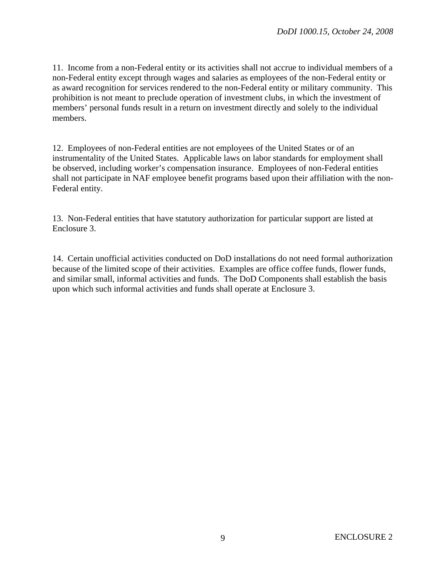11. Income from a non-Federal entity or its activities shall not accrue to individual members of a non-Federal entity except through wages and salaries as employees of the non-Federal entity or as award recognition for services rendered to the non-Federal entity or military community. This prohibition is not meant to preclude operation of investment clubs, in which the investment of members' personal funds result in a return on investment directly and solely to the individual members.

12. Employees of non-Federal entities are not employees of the United States or of an instrumentality of the United States. Applicable laws on labor standards for employment shall be observed, including worker's compensation insurance. Employees of non-Federal entities shall not participate in NAF employee benefit programs based upon their affiliation with the non-Federal entity.

13. Non-Federal entities that have statutory authorization for particular support are listed at Enclosure 3.

14. Certain unofficial activities conducted on DoD installations do not need formal authorization because of the limited scope of their activities. Examples are office coffee funds, flower funds, and similar small, informal activities and funds. The DoD Components shall establish the basis upon which such informal activities and funds shall operate at Enclosure 3.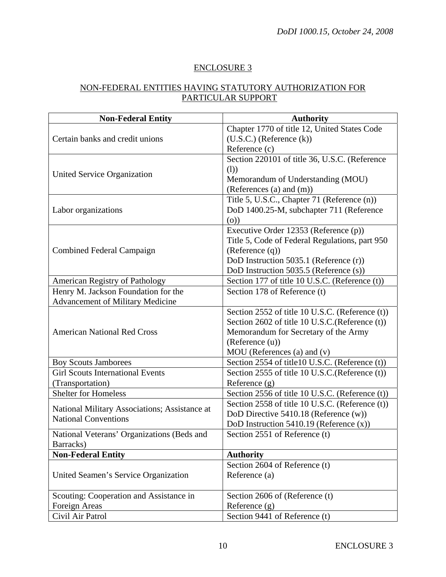## ENCLOSURE 3

## NON-FEDERAL ENTITIES HAVING STATUTORY AUTHORIZATION FOR PARTICULAR SUPPORT

| <b>Non-Federal Entity</b>                                                    | <b>Authority</b>                                |
|------------------------------------------------------------------------------|-------------------------------------------------|
| Certain banks and credit unions                                              | Chapter 1770 of title 12, United States Code    |
|                                                                              | $(U.S.C.)$ (Reference $(k)$ )                   |
|                                                                              | Reference (c)                                   |
| United Service Organization                                                  | Section 220101 of title 36, U.S.C. (Reference   |
|                                                                              | (1))                                            |
|                                                                              | Memorandum of Understanding (MOU)               |
|                                                                              | (References (a) and (m))                        |
| Labor organizations                                                          | Title 5, U.S.C., Chapter 71 (Reference (n))     |
|                                                                              | DoD 1400.25-M, subchapter 711 (Reference        |
|                                                                              | (0)                                             |
| <b>Combined Federal Campaign</b>                                             | Executive Order 12353 (Reference (p))           |
|                                                                              | Title 5, Code of Federal Regulations, part 950  |
|                                                                              | (Reference (q))                                 |
|                                                                              | DoD Instruction 5035.1 (Reference (r))          |
|                                                                              | DoD Instruction 5035.5 (Reference (s))          |
| American Registry of Pathology                                               | Section 177 of title 10 U.S.C. (Reference (t))  |
| Henry M. Jackson Foundation for the                                          | Section 178 of Reference (t)                    |
| <b>Advancement of Military Medicine</b>                                      |                                                 |
|                                                                              | Section 2552 of title 10 U.S.C. (Reference (t)) |
| <b>American National Red Cross</b>                                           | Section 2602 of title 10 U.S.C.(Reference (t))  |
|                                                                              | Memorandum for Secretary of the Army            |
|                                                                              | (Reference (u))                                 |
|                                                                              | $MOU$ (References (a) and (v)                   |
| <b>Boy Scouts Jamborees</b>                                                  | Section 2554 of title10 U.S.C. (Reference (t))  |
| <b>Girl Scouts International Events</b>                                      | Section 2555 of title 10 U.S.C. (Reference (t)) |
| (Transportation)                                                             | Reference $(g)$                                 |
| <b>Shelter for Homeless</b>                                                  | Section 2556 of title 10 U.S.C. (Reference (t)) |
| National Military Associations; Assistance at<br><b>National Conventions</b> | Section 2558 of title 10 U.S.C. (Reference (t)) |
|                                                                              | DoD Directive 5410.18 (Reference (w))           |
|                                                                              | DoD Instruction 5410.19 (Reference $(x)$ )      |
| National Veterans' Organizations (Beds and                                   | Section 2551 of Reference (t)                   |
| Barracks)                                                                    |                                                 |
| <b>Non-Federal Entity</b>                                                    | <b>Authority</b>                                |
| United Seamen's Service Organization                                         | Section 2604 of Reference (t)                   |
|                                                                              | Reference (a)                                   |
|                                                                              |                                                 |
| Scouting: Cooperation and Assistance in                                      | Section 2606 of (Reference (t)                  |
| Foreign Areas                                                                | Reference (g)                                   |
| Civil Air Patrol                                                             | Section 9441 of Reference (t)                   |